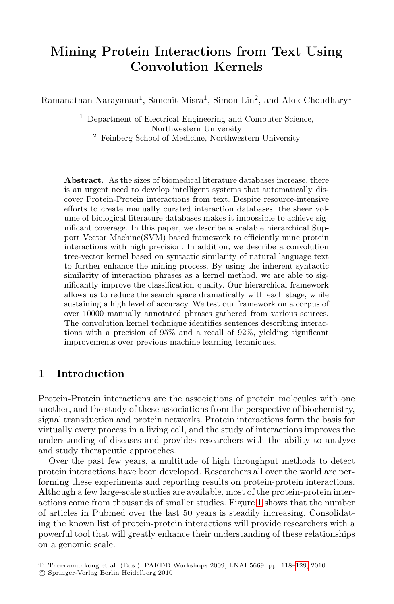# **Mining Protein Interactions from Text Using Convolution Kernels**

Ramanathan Narayanan<sup>1</sup>, Sanchit Misra<sup>1</sup>, Simon Lin<sup>2</sup>, and Alok Choudhary<sup>1</sup>

<sup>1</sup> Department of Electrical Engineering and Computer Science, Northwestern University

 $^{\rm 2}$  Feinberg School of Medicine, Northwestern University

**Abstract.** As the sizes of biomedical literature databases increase, there is an urgent need to develop intelligent systems that automatically discover Protein-Protein interactions from text. Despite resource-intensive efforts to create manually curated interaction databases, the sheer volume of biological literature databases makes it impossible to achieve significant coverage. In this paper, we describe a scalable hierarchical Support Vector Machine(SVM) based framework to efficiently mine protein interactions with high precision. In addition, we describe a convolution tree-vector kernel based on syntactic similarity of natural language text to further enhance the mining process. By using the inherent syntactic similarity of interaction phrases as a kernel method, we are able to significantly improve the classification quality. Our hierarchical framework allows us to reduce the search space dramatically with each stage, while sustaining a high level of accuracy. We test our framework on a corpus of over 10000 manually annotated phrases gathered from various sources. The convolution kernel technique identifies sentences describing interactions with a precision of 95% and a recall of 92%, yielding significant improvements over previous machine learning techniques.

# **1 Introduction**

Protein-Protein interactions are the associations of protein molecules with one another, and the study of these associations from the perspective of biochemistry, signal transduction and protein net[wo](#page-1-0)rks. Protein interactions form the basis for virtually every process in a living cell, and the study of interactions improves the understanding of diseases and provides researchers with the ability to analyze and study therapeutic approaches.

Over the past few years, a multitude of high throughput methods to detect protein interactions have been developed. Researchers all over the world are performing these experiments and reporting resu[lts o](#page-11-0)n protein-protein interactions. Although a few large-scale studies are available, most of the protein-protein interactions come from thousands of smaller studies. Figure 1 shows that the number of articles in Pubmed over the last 50 years is steadily increasing. Consolidating the known list of protein-protein interactions will provide researchers with a powerful tool that will greatly enhance their understanding of these relationships on a genomic scale.

T. Theeramunkong et al. (Eds.): PAKDD Workshops 2009, LNAI 5669, pp. 118–129, 2010.

<sup>-</sup>c Springer-Verlag Berlin Heidelberg 2010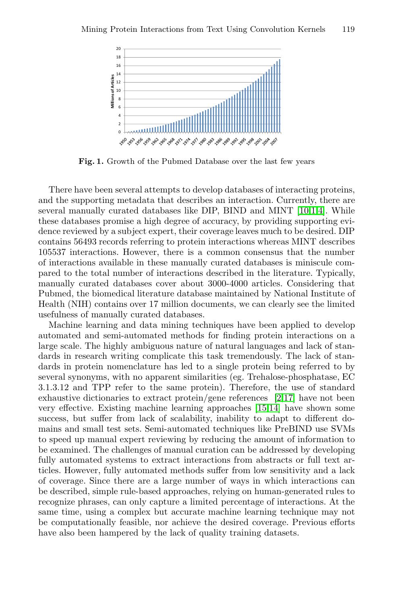<span id="page-1-0"></span>

 $360$ 

**Fig. 1.** Growth of the Pubmed Database over the last few years

 $\overline{0}$  $\overline{2}$  $\overline{4}$ 

الالاسس 1950 1953 1959 1962 1963 1963 1971 1970

There have been several attempts to develop databases of interacting proteins, and the supporting metadata that describes an interaction. Currently, there are several manually curated databases like DIP, BIND and MINT [10,1,4]. While these databases promise a high degree of accuracy, by providing supporting evidence reviewed by a subject expert, their coverage leaves much to be desired. DIP contains 56493 records referring to protein interactions whereas MINT describes 105537 interactions. However, there is a common consensus that the number of interactions available in these manually curated databases is miniscule compared to the total number of interactions described in the literature. Typically, manually curated databases cover about 3000-4000 articles. Considering that Pubmed, the biomedical literature database maintained by National Institute of Health (NIH) contains over 17 million documents, we can clearly see the limited usefulness of manually curated database[s.](#page-10-0)

Machine learning and data mini[ng](#page-10-1) [tech](#page-10-2)niques have been applied to develop automated and semi-automated methods for finding protein interactions on a large scale. The highly ambiguous nature of natural languages and lack of standards in research writing complicate this task tremendously. The lack of standards in protein nomenclature has led to a single protein being referred to by several synonyms, with no apparent similarities (eg. Trehalose-phosphatase, EC 3.1.3.12 and TPP refer to the same protein). Therefore, the use of standard exhaustive dictionaries to extract protein/gene references [2,17] have not been very effective. Existing machine learning approaches [15,14] have shown some success, but suffer from lack of scalability, inability to adapt to different domains and small test sets. Semi-automated techniques like PreBIND use SVMs to speed up manual expert reviewing by reducing the amount of information to be examined. The challenges of manual curation can be addressed by developing fully automated systems to extract interactions from abstracts or full text articles. However, fully automated methods suffer from low sensitivity and a lack of coverage. Since there are a large number of ways in which interactions can be described, simple rule-based approaches, relying on human-generated rules to recognize phrases, can only capture a limited percentage of interactions. At the same time, using a complex but accurate machine learning technique may not be computationally feasible, nor achieve the desired coverage. Previous efforts have also been hampered by the lack of quality training datasets.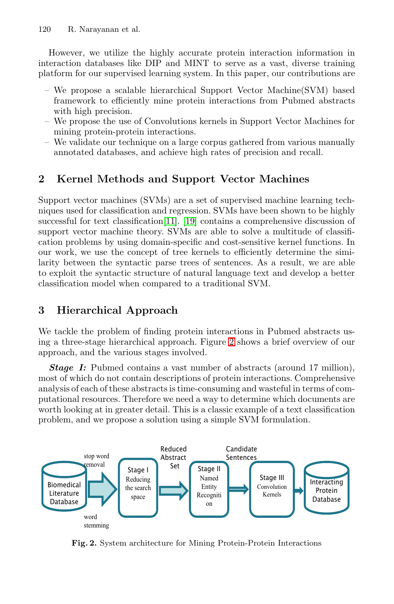However, we utilize the highly accurate protein interaction information in interaction databases like DIP and MINT to serve as a vast, diverse training platform for our supervised learning system. In this paper, our contributions are

- We propose a scalable hierarchical Support Vector Machine(SVM) based framework to efficiently mine protein interactions from Pubmed abstracts with high precision.
- We propose the use of Convolutions kernels in Support Vector Machines for mining [prot](#page-10-3)ei[n-p](#page-10-4)rotein interactions.
- We validate our technique on a large corpus gathered from various manually annotated databases, and achieve high rates of precision and recall.

# **2 Kernel Methods and Support Vector Machines**

Support vector machines (SVMs) are a set of supervised machine learning techniques used for classification and regression. SVMs have been shown to be highly successful for text classification[11]. [19] contains a comprehensive discussion of support vector machine theory. SVMs are able to solve a multitude of classification problems by using domain-specific and cost-sensitive kernel functions. In our work, we use the conce[pt](#page-2-0) of tree kernels to efficiently determine the similarity between the syntactic parse trees of sentences. As a result, we are able to exploit the syntactic structure of natural language text and develop a better classification model when compared to a traditional SVM.

# **3 Hierarchical Approach**

We tackle the problem of finding protein interactions in Pubmed abstracts using a three-stage hierarchical approach. Figure 2 shows a brief overview of our approach, and the various stages involved.

*Stage I:* Pubmed contains a vast number of abstracts (around 17 million), most of which do not contain descriptions of protein interactions. Comprehensive analysis of each of these abstracts is time-consuming and wasteful in terms of computational resources. Therefore we need a way to determine which documents are worth looking at in greater detail. This is a classic example of a text classification problem, and we propose a solution using a simple SVM formulation.

<span id="page-2-0"></span>

**Fig. 2.** System architecture for Mining Protein-Protein Interactions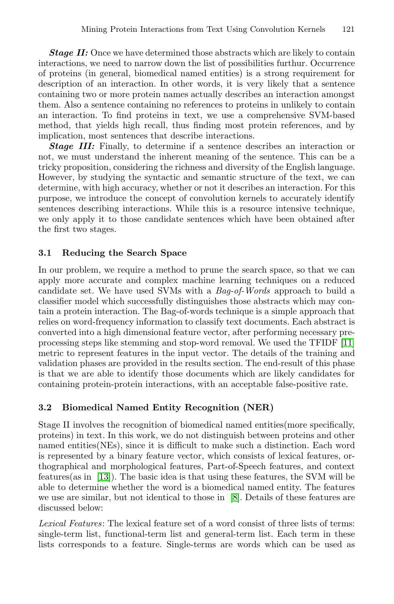*Stage II:* Once we have determined those abstracts which are likely to contain interactions, we need to narrow down the list of possibilities furthur. Occurrence of proteins (in general, biomedical named entities) is a strong requirement for description of an interaction. In other words, it is very likely that a sentence containing two or more protein names actually describes an interaction amongst them. Also a sentence containing no references to proteins in unlikely to contain an interaction. To find proteins in text, we use a comprehensive SVM-based method, that yields high recall, thus finding most protein references, and by implication, most sentences that describe interactions.

*Stage III:* Finally, to determine if a sentence describes an interaction or not, we must understand the inherent meaning of the sentence. This can be a tricky proposition, considering the richness and diversity of the English language. However, by studying the syntactic and semantic structure of the text, we can determine, with high accuracy, whether or not it describes an interaction. For this purpose, we introduce the concept of convolution kernels to accurately identify sentences describing interactions. While this is a resource intensive technique, we only apply it to those candidate sentences which have been obtained after the first two stages.

#### **3.1 Reducing the Search Space**

In our problem, we require a method to prune the search space, so that we can apply more accurate and complex machine learning techniques on a reduced candidate set. We have used SVMs with a *Bag-of-Words* approach to build a classifier model which successfully distinguishes those abstracts which may contain a protein interaction. The Bag-of-words technique is a simple approach that relies on word-frequency information to classify text documents. Each abstract is converted into a high dimensional feature vector, after performing necessary preprocessing steps like stemming and stop-word removal. We used the TFIDF [11] metric to represent features in the input vector. The details of the training and validation phases are provided in the results section. The end-result of this phase is that we are able to identify those documents which are likely candidates for containing protein-protein interactions, with an acceptable false-positive rate.

### **3.2 Biomedical Named [En](#page-10-5)tity Recognition (NER)**

Stage II involves the recognition of biomedical named entities(more specifically, proteins) in text. In this work, we do not distinguish between proteins and other named entities(NEs), since it is difficult to make such a distinction. Each word is represented by a binary feature vector, which consists of lexical features, orthographical and morphological features, Part-of-Speech features, and context features(as in [13]). The basic idea is that using these features, the SVM will be able to determine whether the word is a biomedical named entity. The features we use are similar, but not identical to those in [8]. Details of these features are discussed below:

*Lexical Features*: The lexical feature set of a word consist of three lists of terms: single-term list, functional-term list and general-term list. Each term in these lists corresponds to a feature. Single-terms are words which can be used as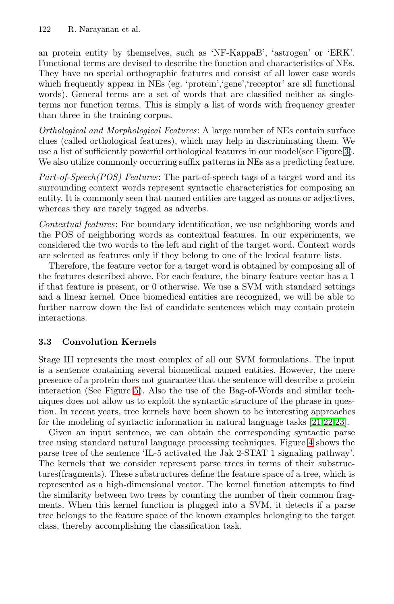an protein entity by themselves, such as 'NF-KappaB', 'astrogen' or 'ERK'. Functional terms are devised to describe the function and [ch](#page-5-0)aracteristics of NEs. They have no special orthographic features and consist of all lower case words which frequently appear in NEs (eg. 'protein', 'gene', 'receptor' are all functional words). General terms are a set of words that are classified neither as singleterms nor function terms. This is simply a list of words with frequency greater than three in the training corpus.

*Orthological and Morphological Features*: A large number of NEs contain surface clues (called orthological features), which may help in discriminating them. We use a list of sufficiently powerful orthological features in our model(see Figure 3). We also utilize commonly occurring suffix patterns in NEs as a predicting feature.

*Part-of-Speech(POS) Features*: The part-of-speech tags of a target word and its surrounding context words represent syntactic characteristics for composing an entity. It is commonly seen that named entities are tagged as nouns or adjectives, whereas they are rarely tagged as adverbs.

*Contextual features*: For boundary identification, we use neighboring words and the POS of neighboring words as contextual features. In our experiments, we considered the two words to the left and right of the target word. Context words are selected as features only if they belong to one of the lexical feature lists.

Therefore, the feature vector for a target word is obtained by composing all of the features described above. For each feature, the binary feature vector has a 1 if that feature is present, or 0 otherwise. We use a SVM with standard settings and a linear kernel. Once biomedical entities are recognized, we will be able to furt[her](#page-7-0) narrow down the list of candidate sentences which may contain protein interactions.

### **3.3 Convolution Kernels**

Stage III represents the most complex of all our [S](#page-5-1)VM formulations. The input is a sentence containing several biomedical named entities. However, the mere presence of a protein does not guarantee that the sentence will describe a protein interaction (See Figure 5). Also the use of the Bag-of-Words and similar techniques does not allow us to exploit the syntactic structure of the phrase in question. In recent years, tree kernels have been shown to be interesting approaches for the modeling of syntactic information in natural language tasks [21,22,23].

Given an input sentence, we can obtain the corresponding syntactic parse tree using standard natural language processing techniques. Figure 4 shows the parse tree of the sentence 'IL-5 activated the Jak 2-STAT 1 signaling pathway'. The kernels that we consider represent parse trees in terms of their substructures(fragments). These substructures define the feature space of a tree, which is represented as a high-dimensional vector. The kernel function attempts to find the similarity between two trees by counting the number of their common fragments. When this kernel function is plugged into a SVM, it detects if a parse tree belongs to the feature space of the known examples belonging to the target class, thereby accomplishing the classification task.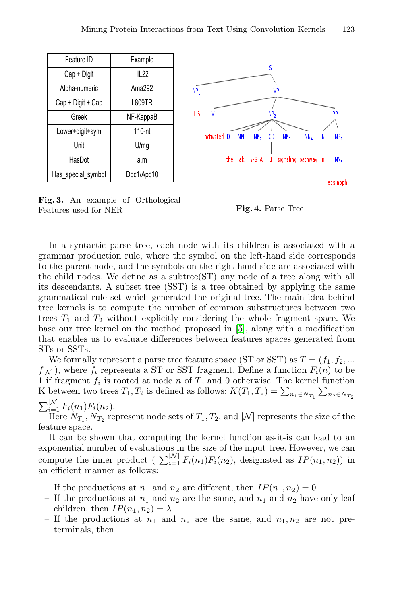<span id="page-5-0"></span>

| Feature ID         | Example       |
|--------------------|---------------|
| Cap + Digit        | II 22         |
| Alpha-numeric      | Ama292        |
| Cap + Digit + Cap  | <b>L809TR</b> |
| Greek              | NF-KappaB     |
| Lower+digit+sym    | 110-nt        |
| Unit               | U/ma          |
| HasDot             | a.m           |
| Has special symbol | Doc1/Apc10    |

**Fig. 3.** An example of Orthological Features used for NER **Fig. 4.** Parse Tree

<span id="page-5-1"></span>

In a syntactic parse tree, e[ac](#page-10-6)h node with its children is associated with a grammar production rule, where the symbol on the left-hand side corresponds to the parent node, and the symbols on the right hand side are associated with the child nodes. We define as a subtree(ST) any node of a tree along with all its descendants. A subset tree (SST) is a tree obtained by applying the same grammatical rule set which generated the original tree. The main idea behind tree kernels is to compute the number of common substructures between two trees  $T_1$  and  $T_2$  without explicitly considering the whole fragment space. We base our tree kernel on the method proposed in [5], along with a modification that enables us to evaluate differences between features spaces generated from STs or SSTs.

We formally represent a parse tree feature space (ST or SST) as  $T = (f_1, f_2, ...$  $f_{|N|}$ , where  $f_i$  represents a ST or SST fragment. Define a function  $F_i(n)$  to be 1 if fragment  $f_i$  is rooted at node  $n$  of  $T$ , and 0 otherwise. The kernel function K between two trees  $T_1, T_2$  is defined as follows:  $K(T_1, T_2) = \sum_{n_1 \in N_{T_1}} \sum_{n_2 \in N_{T_2}}$ 

 $\sum_{i=1}^{|N|} F_i(n_1) F_i(n_2)$ .

Here  $N_{T_1}, N_{T_2}$  represent node sets of  $T_1, T_2$ , and  $|\mathcal{N}|$  represents the size of the feature space.

It can be shown that computing the kernel function as-it-is can lead to an exponential number of evaluations in the size of the input tree. However, we can compute the inner product ( $\sum_{i=1}^{|N|} F_i(n_1)F_i(n_2)$ , designated as  $IP(n_1, n_2)$ ) in an efficient manner as follows:

- If the productions at  $n_1$  and  $n_2$  are different, then  $IP(n_1, n_2)=0$
- If the productions at  $n_1$  and  $n_2$  are the same, and  $n_1$  and  $n_2$  have only leaf children, then  $IP(n_1, n_2) = \lambda$
- If the productions at  $n_1$  and  $n_2$  are the same, and  $n_1, n_2$  are not preterminals, then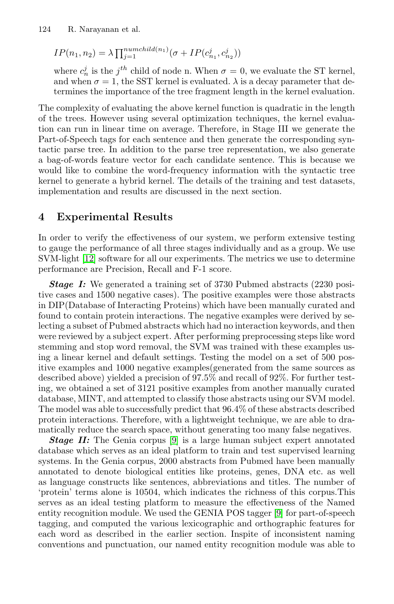$$
IP(n_1, n_2) = \lambda \prod_{j=1}^{numberal}(n_1)} (\sigma + IP(c_{n_1}^j, c_{n_2}^j))
$$

where  $c_n^j$  is the j<sup>th</sup> child of node n. When  $\sigma = 0$ , we evaluate the ST kernel, and when  $\sigma = 1$ , the SST kernel is evaluated.  $\lambda$  is a decay parameter that determines the importance of the tree fragment length in the kernel evaluation.

The complexity of evaluating the above kernel function is quadratic in the length of the trees. However using several optimization techniques, the kernel evaluation can run in linear time on average. Therefore, in Stage III we generate the Part-of-Speech tags for each sentence and then generate the corresponding syntactic parse tree. In addition to the parse tree representation, we also generate a bag-of-words feature vector for each candidate sentence. This is because we would like to combine the word-frequency information with the syntactic tree kernel to generate a hybrid kernel. The details of the training and test datasets, implementation and results are discussed in the next section.

### **4 Experimental Results**

In order to verify the effectiveness of our system, we perform extensive testing to gauge the performance of all three stages individually and as a group. We use SVM-light [12] software for all our experiments. The metrics we use to determine performance are Precision, Recall and F-1 score.

**Stage I:** We generated a training set of 3730 Pubmed abstracts (2230 positive cases and 1500 negative cases). The positive examples were those abstracts in DIP(Database of Interacting Proteins) which have been manually curated and found to contain protein interactions. The negative examples were derived by selecting a subset of Pubmed abstracts which had no interaction keywords, and then were reviewed by a subject expert. After performing preprocessing steps like word stemming and stop word removal, the SVM was trained with these examples using a linear k[ern](#page-10-7)el and default settings. Testing the model on a set of 500 positive examples and 1000 negative examples(generated from the same sources as described above) yielded a precision of 97.5% and recall of 92%. For further testing, we obtained a set of 3121 positive examples from another manually curated database, MINT, and attempted to classify those abstracts using our SVM model. The model was able to successfully predict that 96.4% of these abstracts described protein interactions. Therefore, with a lightweight technique, we are able to dramatically reduce the search space, witho[ut](#page-10-7) generating too many false negatives.

**Stage II:** The Genia corpus [9] is a large human subject expert annotated database which serves as an ideal platform to train and test supervised learning systems. In the Genia corpus, 2000 abstracts from Pubmed have been manually annotated to denote biological entities like proteins, genes, DNA etc. as well as language constructs like sentences, abbreviations and titles. The number of 'protein' terms alone is 10504, which indicates the richness of this corpus.This serves as an ideal testing platform to measure the effectiveness of the Named entity recognition module. We used the GENIA POS tagger [9] for part-of-speech tagging, and computed the various lexicographic and orthographic features for each word as described in the earlier section. Inspite of inconsistent naming conventions and punctuation, our named entity recognition module was able to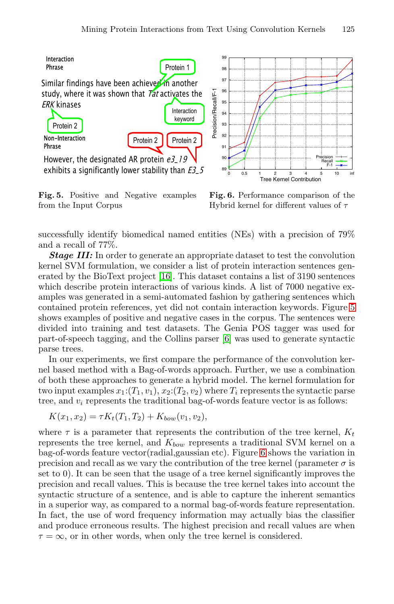<span id="page-7-0"></span>

**Fig. 5.** Pos[itive](#page-10-8) and Negative examples from the Input Corpus

<span id="page-7-1"></span>**Fig. 6.** Performance comparison of the Hybrid kernel for different values of  $\tau$ 

successfully identify biomedical named entities (NEs) with a precision of 79% and a recall of 77%.

*Stage III:* In order to g[ene](#page-10-9)rate an appropriate dataset to test the convolution kernel SVM formulation, we consider a list of protein interaction sentences generated by the BioText project [16]. This dataset contains a list of 3190 sentences which describe protein interactions of various kinds. A list of 7000 negative examples was generated in a semi-automated fashion by gathering sentences which contained protein references, yet did not contain interaction keywords. Figure 5 shows examples of positive and negative cases in the corpus. The sentences were divided into training and test datasets. The Genia POS tagger was used for part-of-speech tagging, and the Collins parser [6] was used to generate syntactic parse trees.

In our experiments, we first compare the performance of the convolution kernel based method with a Bag-of-wor[ds](#page-7-1) approach. Further, we use a combination of both these approaches to generate a hybrid model. The kernel formulation for two input examples  $x_1:(T_1, v_1), x_2:(T_2, v_2)$  where  $T_i$  represents the syntactic parse tree, and v*<sup>i</sup>* represents the traditional bag-of-words feature vector is as follows:

 $K(x_1, x_2) = \tau K_t(T_1, T_2) + K_{bow}(v_1, v_2),$ 

where  $\tau$  is a parameter that represents the contribution of the tree kernel,  $K_t$ represents the tree kernel, and K*bow* represents a traditional SVM kernel on a bag-of-words feature vector(radial,gaussian etc). Figure 6 shows the variation in precision and recall as we vary the contribution of the tree kernel (parameter  $\sigma$  is set to 0). It can be seen that the usage of a tree kernel significantly improves the precision and recall values. This is because the tree kernel takes into account the syntactic structure of a sentence, and is able to capture the inherent semantics in a superior way, as compared to a normal bag-of-words feature representation. In fact, the use of word frequency information may actually bias the classifier and produce erroneous results. The highest precision and recall values are when  $\tau = \infty$ , or in other words, when only the tree kernel is considered.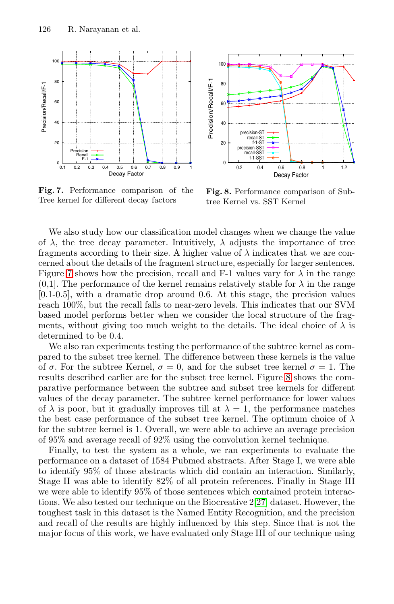

<span id="page-8-0"></span>100 Precision/Recall/F-1 80 Precision/Recall/F- 60 40  $e<sub>c</sub>ision-S$ recall-ST f-1-ST 20 precision-SST recall-SST f-1-SST 0 0.2 0.4 0.6 0.8 1 1.2 Decay Factor

**Fig. 7.** Performance comparison of the Tree kernel for different decay factors

**Fig. 8.** Performance comparison of Subtree Kernel vs. SST Kernel

We also study how our classification model changes when we change the value of  $\lambda$ , the tree decay parameter. Intuitively,  $\lambda$  adjusts the importance of tree fragments according to their size. A higher value of  $\lambda$  indicates that we are concerned about the details of the fragment structure, especially for larger sentences. Figure 7 shows how the precision, recall and F-1 values vary for  $\lambda$  in the range  $(0,1]$ . The performance of the kernel remains relatively stable for  $\lambda$  in the range [0.1-0.5], with a dramatic drop around 0.[6.](#page-8-0) At this stage, the precision values reach 100%, but the recall falls to near-zero levels. This indicates that our SVM based model performs better when we consider the local structure of the fragments, without giving too much weight to the details. The ideal choice of  $\lambda$  is determined to be 0.4.

We also ran experiments testing the performance of the subtree kernel as compared to the subset tree kernel. The difference between these kernels is the value of  $\sigma$ . For the subtree Kernel,  $\sigma = 0$ , and for the subset tree kernel  $\sigma = 1$ . The results described earlier are for the subset tree kernel. Figure 8 shows the comparative performance between the subtree and subset tree kernels for different values of the decay parameter. The subtree kernel performance for lower values of  $\lambda$  is poor, but it gradually improves till at  $\lambda = 1$ , the performance matches the best case performance of the s[ubs](#page-11-1)et tree kernel. The optimum choice of  $\lambda$ for the subtree kernel is 1. Overall, we were able to achieve an average precision of 95% and average recall of 92% using the convolution kernel technique.

Finally, to test the system as a whole, we ran experiments to evaluate the performance on a dataset of 1584 Pubmed abstracts. After Stage I, we were able to identify 95% of those abstracts which did contain an interaction. Similarly, Stage II was able to identify 82% of all protein references. Finally in Stage III we were able to identify 95% of those sentences which contained protein interactions. We also tested our technique on the Biocreative 2[27] dataset. However, the toughest task in this dataset is the Named Entity Recognition, and the precision and recall of the results are highly influenced by this step. Since that is not the major focus of this work, we have evaluated only Stage III of our technique using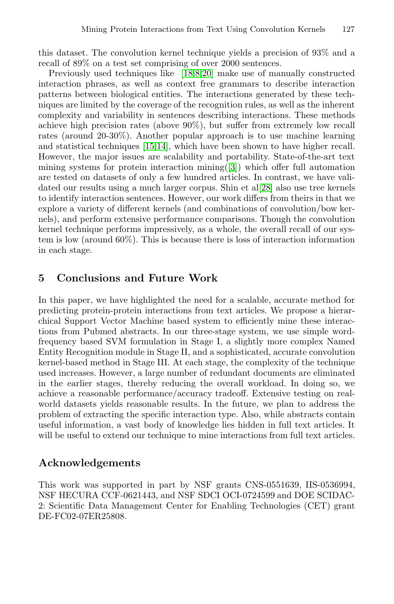this dataset. The convolution kernel technique yields a precision of 93% and a recall o[f 8](#page-10-1)[9%](#page-10-2) on a test set comprising of over 2000 sentences.

Previously used techniques like [18,8,20] make use of manually constructed interaction phrases, as well [as](#page-10-10) context free grammars to describe interaction patterns between biological entities. The interactions generated by these techniques are limited by the coverage of [the](#page-11-2) recognition rules, as well as the inherent complexity and variability in sentences describing interactions. These methods achieve high precision rates (above 90%), but suffer from extremely low recall rates (around 20-30%). Another popular approach is to use machine learning and statistical techniques [15,14], which have been shown to have higher recall. However, the major issues are scalability and portability. State-of-the-art text mining systems for protein interaction mining( $[3]$ ) which offer full automation are tested on datasets of only a few hundred articles. In contrast, we have validated our results using a much larger corpus. Shin et al[28] also use tree kernels to identify interaction sentences. However, our work differs from theirs in that we explore a variety of different kernels (and combinations of convolution/bow kernels), and perform extensive performance comparisons. Though the convolution kernel technique performs impressively, as a whole, the overall recall of our system is low (around 60%). This is because there is loss of interaction information in each stage.

## **5 Conclusions and Future Work**

In this paper, we have highlighted the need for a scalable, accurate method for predicting protein-protein interactions from text articles. We propose a hierarchical Support Vector Machine based system to efficiently mine these interactions from Pubmed abstracts. In our three-stage system, we use simple wordfrequency based SVM formulation in Stage I, a slightly more complex Named Entity Recognition module in Stage II, and a sophisticated, accurate convolution kernel-based method in Stage III. At each stage, the complexity of the technique used increases. However, a large number of redundant documents are eliminated in the earlier stages, thereby reducing the overall workload. In doing so, we achieve a reasonable performance/accuracy tradeoff. Extensive testing on realworld datasets yields reasonable results. In the future, we plan to address the problem of extracting the specific interaction type. Also, while abstracts contain useful information, a vast body of knowledge lies hidden in full text articles. It will be useful to extend our technique to mine interactions from full text articles.

### **Acknowledgements**

This work was supported in part by NSF grants CNS-0551639, IIS-0536994, NSF HECURA CCF-0621443, and NSF SDCI OCI-0724599 and DOE SCIDAC-2: Scientific Data Management Center for Enabling Technologies (CET) grant DE-FC02-07ER25808.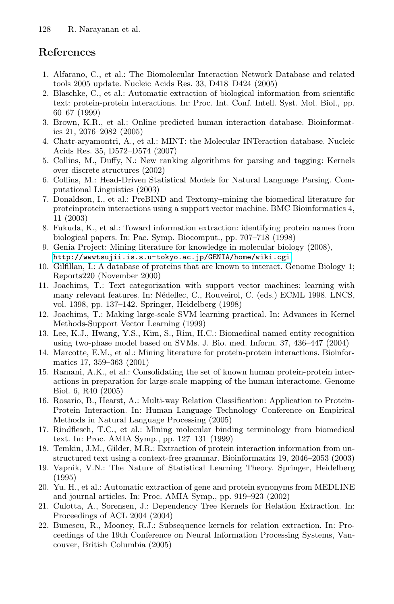### <span id="page-10-10"></span><span id="page-10-6"></span><span id="page-10-0"></span>**References**

- <span id="page-10-9"></span>1. Alfarano, C., et al.: The Biomolecular Interaction Network Database and related tools 2005 update. Nucleic Acids Res. 33, D418–D424 (2005)
- 2. Blaschke, C., et al.: Automatic extraction of biological information from scientific text: protein-protein interactions. In: Proc. Int. Conf. Intell. Syst. Mol. Biol., pp. 60–67 (1999)
- 3. Brown, K.R., et al.: Online predicted human interaction database. Bioinformatics 21, 2076–2082 (2005)
- <span id="page-10-5"></span>4. Chatr-aryamontri, A., et al.: MINT: the Molecular INTeraction database. Nucleic Acids Res. 35, D572–D574 (2007)
- <span id="page-10-7"></span>5. Collins, M., Duffy, N.: New ranking algorithms for parsing and tagging: Kernels [over discrete structures \(2002\)](http://wwwtsujii.is.s.u-tokyo.ac.jp/GENIA/home/wiki.cgi)
- 6. Collins, M.: Head-Driven Statistical Models for Natural Language Parsing. Computational Linguistics (2003)
- <span id="page-10-3"></span>7. Donaldson, I., et al.: PreBIND and Textomy–mining the biomedical literature for proteinprotein interactions using a support vector machine. BMC Bioinformatics 4, 11 (2003)
- 8. Fukuda, K., et al.: Toward information extraction: identifying protein names from biological papers. In: Pac. Symp. Biocomput., pp. 707–718 (1998)
- 9. Genia Project: Mining literature for knowledge in molecular biology (2008),
- <span id="page-10-2"></span>10. Gilfillan, I.: A database of proteins that are known to interact. Genome Biology 1; Reports220 (November 2000)
- <span id="page-10-1"></span>11. Joachims, T.: Text categorization with support vector machines: learning with many relevant features. In: Nédellec, C., Rouveirol, C. (eds.) ECML 1998. LNCS, vol. 1398, pp. 137–142. Springer, Heidelberg (1998)
- <span id="page-10-8"></span>12. Joachims, T.: Making large-scale SVM learning practical. In: Advances in Kernel Methods-Support Vector Learning (1999)
- 13. Lee, K.J., Hwang, Y.S., Kim, S., Rim, H.C.: Biomedical named entity recognition using two-phase model based on SVMs. J. Bio. med. Inform. 37, 436–447 (2004)
- 14. Marcotte, E.M., et al.: Mining literature for protein-protein interactions. Bioinformatics 17, 359–363 (2001)
- <span id="page-10-4"></span>15. Ramani, A.K., et al.: Consolidating the set of known human protein-protein interactions in preparation for large-scale mapping of the human interactome. Genome Biol. 6, R40 (2005)
- 16. Rosario, B., Hearst, A.: Multi-way Relation Classification: Application to Protein-Protein Interaction. In: Human Language Technology Conference on Empirical Methods in Natural Language Processing (2005)
- 17. Rindflesch, T.C., et al.: Mining molecular binding terminology from biomedical text. In: Proc. AMIA Symp., pp. 127–131 (1999)
- 18. Temkin, J.M., Gilder, M.R.: Extraction of protein interaction information from unstructured text using a context-free grammar. Bioinformatics 19, 2046–2053 (2003)
- 19. Vapnik, V.N.: The Nature of Statistical Learning Theory. Springer, Heidelberg (1995)
- 20. Yu, H., et al.: Automatic extraction of gene and protein synonyms from MEDLINE and journal articles. In: Proc. AMIA Symp., pp. 919–923 (2002)
- 21. Culotta, A., Sorensen, J.: Dependency Tree Kernels for Relation Extraction. In: Proceedings of ACL 2004 (2004)
- 22. Bunescu, R., Mooney, R.J.: Subsequence kernels for relation extraction. In: Proceedings of the 19th Conference on Neural Information Processing Systems, Vancouver, British Columbia (2005)